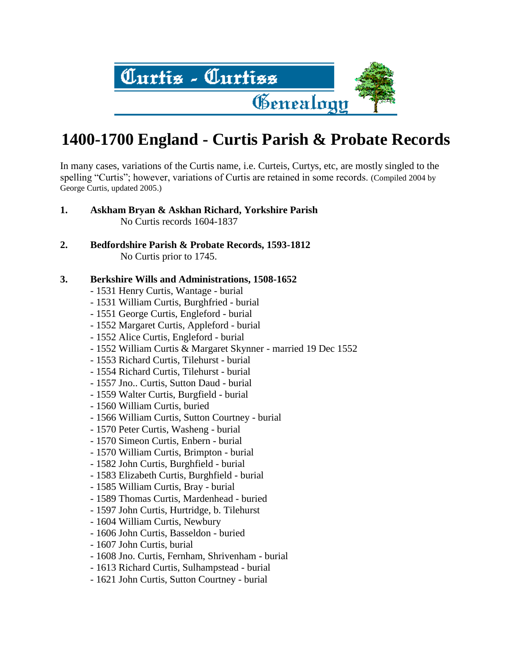

In many cases, variations of the Curtis name, i.e. Curteis, Curtys, etc, are mostly singled to the spelling "Curtis"; however, variations of Curtis are retained in some records. (Compiled 2004 by George Curtis, updated 2005.)

- **1. Askham Bryan & Askhan Richard, Yorkshire Parish** No Curtis records 1604-1837
- **2. Bedfordshire Parish & Probate Records, 1593-1812** No Curtis prior to 1745.
- **3. Berkshire Wills and Administrations, 1508-1652**
	- 1531 Henry Curtis, Wantage burial
	- 1531 William Curtis, Burghfried burial
	- 1551 George Curtis, Engleford burial
	- 1552 Margaret Curtis, Appleford burial
	- 1552 Alice Curtis, Engleford burial
	- 1552 William Curtis & Margaret Skynner married 19 Dec 1552
	- 1553 Richard Curtis, Tilehurst burial
	- 1554 Richard Curtis, Tilehurst burial
	- 1557 Jno.. Curtis, Sutton Daud burial
	- 1559 Walter Curtis, Burgfield burial
	- 1560 William Curtis, buried
	- 1566 William Curtis, Sutton Courtney burial
	- 1570 Peter Curtis, Washeng burial
	- 1570 Simeon Curtis, Enbern burial
	- 1570 William Curtis, Brimpton burial
	- 1582 John Curtis, Burghfield burial
	- 1583 Elizabeth Curtis, Burghfield burial
	- 1585 William Curtis, Bray burial
	- 1589 Thomas Curtis, Mardenhead buried
	- 1597 John Curtis, Hurtridge, b. Tilehurst
	- 1604 William Curtis, Newbury
	- 1606 John Curtis, Basseldon buried
	- 1607 John Curtis, burial
	- 1608 Jno. Curtis, Fernham, Shrivenham burial
	- 1613 Richard Curtis, Sulhampstead burial
	- 1621 John Curtis, Sutton Courtney burial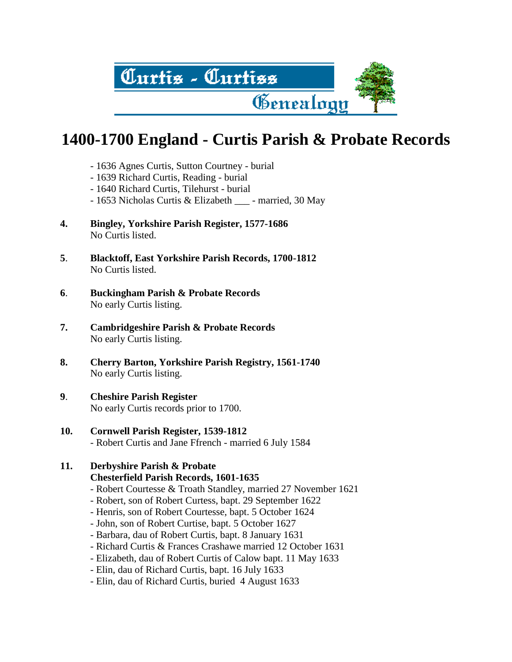

- 1636 Agnes Curtis, Sutton Courtney burial
- 1639 Richard Curtis, Reading burial
- 1640 Richard Curtis, Tilehurst burial
- 1653 Nicholas Curtis & Elizabeth married, 30 May
- **4. Bingley, Yorkshire Parish Register, 1577-1686** No Curtis listed.
- **5**. **Blacktoff, East Yorkshire Parish Records, 1700-1812** No Curtis listed.
- **6**. **Buckingham Parish & Probate Records** No early Curtis listing.
- **7. Cambridgeshire Parish & Probate Records** No early Curtis listing.
- **8. Cherry Barton, Yorkshire Parish Registry, 1561-1740** No early Curtis listing.
- **9**. **Cheshire Parish Register** No early Curtis records prior to 1700.
- **10. Cornwell Parish Register, 1539-1812** - Robert Curtis and Jane Ffrench - married 6 July 1584

# **11. Derbyshire Parish & Probate Chesterfield Parish Records, 1601-1635**

- Robert Courtesse & Troath Standley, married 27 November 1621
- Robert, son of Robert Curtess, bapt. 29 September 1622
- Henris, son of Robert Courtesse, bapt. 5 October 1624
- John, son of Robert Curtise, bapt. 5 October 1627
- Barbara, dau of Robert Curtis, bapt. 8 January 1631
- Richard Curtis & Frances Crashawe married 12 October 1631
- Elizabeth, dau of Robert Curtis of Calow bapt. 11 May 1633
- Elin, dau of Richard Curtis, bapt. 16 July 1633
- Elin, dau of Richard Curtis, buried 4 August 1633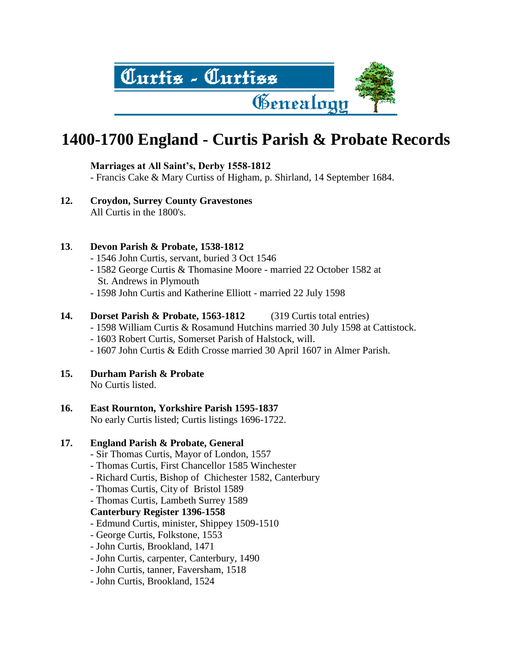

# **Marriages at All Saint's, Derby 1558-1812**

- Francis Cake & Mary Curtiss of Higham, p. Shirland, 14 September 1684.

**12. Croydon, Surrey County Gravestones**  All Curtis in the 1800's.

### **13**. **Devon Parish & Probate, 1538-1812**

- 1546 John Curtis, servant, buried 3 Oct 1546
- 1582 George Curtis & Thomasine Moore married 22 October 1582 at St. Andrews in Plymouth
- 1598 John Curtis and Katherine Elliott married 22 July 1598
- **14. Dorset Parish & Probate, 1563-1812** (319 Curtis total entries)
	- 1598 William Curtis & Rosamund Hutchins married 30 July 1598 at Cattistock.
	- 1603 Robert Curtis, Somerset Parish of Halstock, will.
	- 1607 John Curtis & Edith Crosse married 30 April 1607 in Almer Parish.

# **15. Durham Parish & Probate**

No Curtis listed.

# **16. East Rournton, Yorkshire Parish 1595-1837**

No early Curtis listed; Curtis listings 1696-1722.

# **17. England Parish & Probate, General**

- Sir Thomas Curtis, Mayor of London, 1557
- Thomas Curtis, First Chancellor 1585 Winchester
- Richard Curtis, Bishop of Chichester 1582, Canterbury
- Thomas Curtis, City of Bristol 1589
- Thomas Curtis, Lambeth Surrey 1589

#### **Canterbury Register 1396-1558**

- Edmund Curtis, minister, Shippey 1509-1510
- George Curtis, Folkstone, 1553
- John Curtis, Brookland, 1471
- John Curtis, carpenter, Canterbury, 1490
- John Curtis, tanner, Faversham, 1518
- John Curtis, Brookland, 1524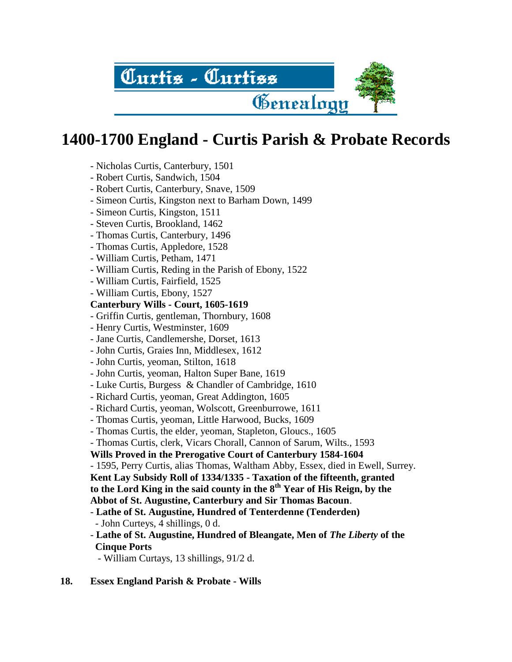

- Nicholas Curtis, Canterbury, 1501
- Robert Curtis, Sandwich, 1504
- Robert Curtis, Canterbury, Snave, 1509
- Simeon Curtis, Kingston next to Barham Down, 1499
- Simeon Curtis, Kingston, 1511
- Steven Curtis, Brookland, 1462
- Thomas Curtis, Canterbury, 1496
- Thomas Curtis, Appledore, 1528
- William Curtis, Petham, 1471
- William Curtis, Reding in the Parish of Ebony, 1522
- William Curtis, Fairfield, 1525
- William Curtis, Ebony, 1527

# **Canterbury Wills - Court, 1605-1619**

- Griffin Curtis, gentleman, Thornbury, 1608
- Henry Curtis, Westminster, 1609
- Jane Curtis, Candlemershe, Dorset, 1613
- John Curtis, Graies Inn, Middlesex, 1612
- John Curtis, yeoman, Stilton, 1618
- John Curtis, yeoman, Halton Super Bane, 1619
- Luke Curtis, Burgess & Chandler of Cambridge, 1610
- Richard Curtis, yeoman, Great Addington, 1605
- Richard Curtis, yeoman, Wolscott, Greenburrowe, 1611
- Thomas Curtis, yeoman, Little Harwood, Bucks, 1609
- Thomas Curtis, the elder, yeoman, Stapleton, Gloucs., 1605
- Thomas Curtis, clerk, Vicars Chorall, Cannon of Sarum, Wilts., 1593

# **Wills Proved in the Prerogative Court of Canterbury 1584-1604**

- 1595, Perry Curtis, alias Thomas, Waltham Abby, Essex, died in Ewell, Surrey. **Kent Lay Subsidy Roll of 1334/1335 - Taxation of the fifteenth, granted to the Lord King in the said county in the 8th Year of His Reign, by the Abbot of St. Augustine, Canterbury and Sir Thomas Bacoun**.

- **Lathe of St. Augustine, Hundred of Tenterdenne (Tenderden)** - John Curteys, 4 shillings, 0 d.
- **Lathe of St. Augustine, Hundred of Bleangate, Men of** *The Liberty* **of the Cinque Ports**
	- William Curtays, 13 shillings, 91/2 d.

# **18. Essex England Parish & Probate - Wills**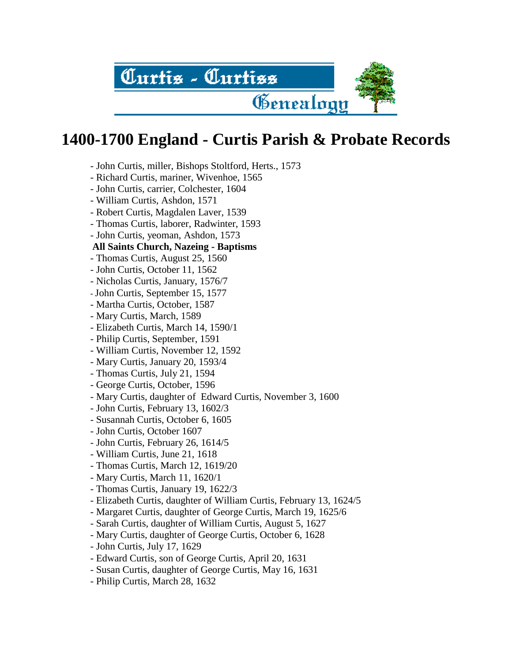

- John Curtis, miller, Bishops Stoltford, Herts., 1573
- Richard Curtis, mariner, Wivenhoe, 1565
- John Curtis, carrier, Colchester, 1604
- William Curtis, Ashdon, 1571
- Robert Curtis, Magdalen Laver, 1539
- Thomas Curtis, laborer, Radwinter, 1593
- John Curtis, yeoman, Ashdon, 1573
- **All Saints Church, Nazeing - Baptisms**
- Thomas Curtis, August 25, 1560
- John Curtis, October 11, 1562
- Nicholas Curtis, January, 1576/7
- John Curtis, September 15, 1577
- Martha Curtis, October, 1587
- Mary Curtis, March, 1589
- Elizabeth Curtis, March 14, 1590/1
- Philip Curtis, September, 1591
- William Curtis, November 12, 1592
- Mary Curtis, January 20, 1593/4
- Thomas Curtis, July 21, 1594
- George Curtis, October, 1596
- Mary Curtis, daughter of Edward Curtis, November 3, 1600
- John Curtis, February 13, 1602/3
- Susannah Curtis, October 6, 1605
- John Curtis, October 1607
- John Curtis, February 26, 1614/5
- William Curtis, June 21, 1618
- Thomas Curtis, March 12, 1619/20
- Mary Curtis, March 11, 1620/1
- Thomas Curtis, January 19, 1622/3
- Elizabeth Curtis, daughter of William Curtis, February 13, 1624/5
- Margaret Curtis, daughter of George Curtis, March 19, 1625/6
- Sarah Curtis, daughter of William Curtis, August 5, 1627
- Mary Curtis, daughter of George Curtis, October 6, 1628
- John Curtis, July 17, 1629
- Edward Curtis, son of George Curtis, April 20, 1631
- Susan Curtis, daughter of George Curtis, May 16, 1631
- Philip Curtis, March 28, 1632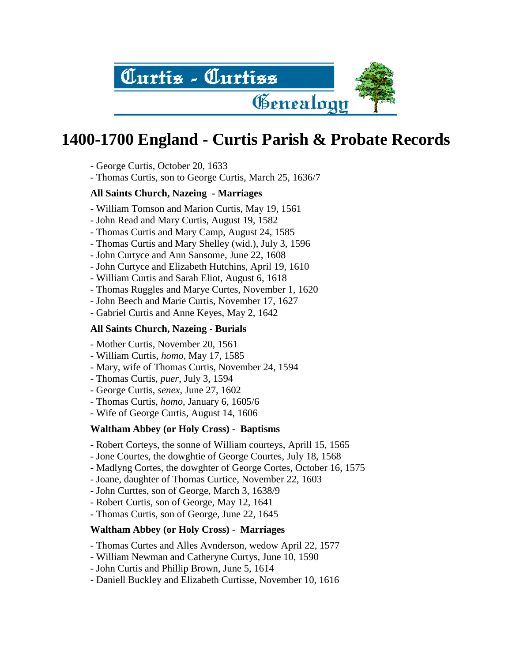

- George Curtis, October 20, 1633
- Thomas Curtis, son to George Curtis, March 25, 1636/7

# **All Saints Church, Nazeing - Marriages**

- William Tomson and Marion Curtis, May 19, 1561
- John Read and Mary Curtis, August 19, 1582
- Thomas Curtis and Mary Camp, August 24, 1585
- Thomas Curtis and Mary Shelley (wid.), July 3, 1596
- John Curtyce and Ann Sansome, June 22, 1608
- John Curtyce and Elizabeth Hutchins, April 19, 1610
- William Curtis and Sarah Eliot, August 6, 1618
- Thomas Ruggles and Marye Curtes, November 1, 1620
- John Beech and Marie Curtis, November 17, 1627
- Gabriel Curtis and Anne Keyes, May 2, 1642

# **All Saints Church, Nazeing - Burials**

- Mother Curtis, November 20, 1561
- William Curtis, *homo*, May 17, 1585
- Mary, wife of Thomas Curtis, November 24, 1594
- Thomas Curtis, *puer*, July 3, 1594
- George Curtis, *senex*, June 27, 1602
- Thomas Curtis, *homo*, January 6, 1605/6
- Wife of George Curtis, August 14, 1606

# **Waltham Abbey (or Holy Cross)** - **Baptisms**

- Robert Corteys, the sonne of William courteys, Aprill 15, 1565
- Jone Courtes, the dowghtie of George Courtes, July 18, 1568
- Madlyng Cortes, the dowghter of George Cortes, October 16, 1575
- Joane, daughter of Thomas Curtice, November 22, 1603
- John Curttes, son of George, March 3, 1638/9
- Robert Curtis, son of George, May 12, 1641
- Thomas Curtis, son of George, June 22, 1645

# **Waltham Abbey (or Holy Cross)** - **Marriages**

- Thomas Curtes and Alles Avnderson, wedow April 22, 1577
- William Newman and Catheryne Curtys, June 10, 1590
- John Curtis and Phillip Brown, June 5, 1614
- Daniell Buckley and Elizabeth Curtisse, November 10, 1616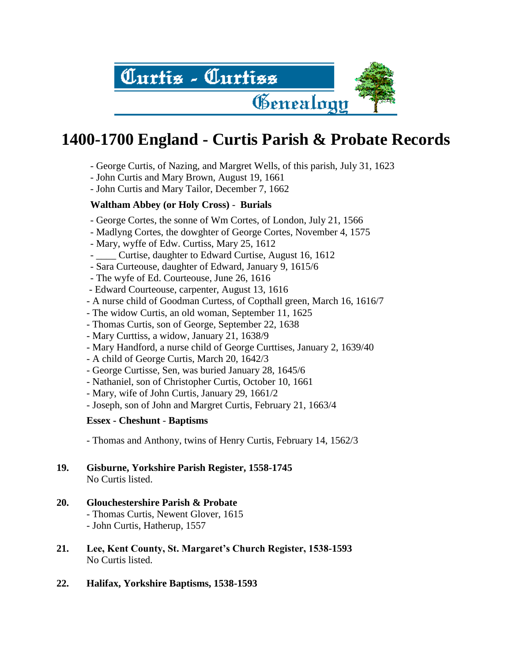

- George Curtis, of Nazing, and Margret Wells, of this parish, July 31, 1623
- John Curtis and Mary Brown, August 19, 1661
- John Curtis and Mary Tailor, December 7, 1662

# **Waltham Abbey (or Holy Cross)** - **Burials**

- George Cortes, the sonne of Wm Cortes, of London, July 21, 1566
- Madlyng Cortes, the dowghter of George Cortes, November 4, 1575
- Mary, wyffe of Edw. Curtiss, Mary 25, 1612
- Curtise, daughter to Edward Curtise, August 16, 1612
- Sara Curteouse, daughter of Edward, January 9, 1615/6
- The wyfe of Ed. Courteouse, June 26, 1616
- Edward Courteouse, carpenter, August 13, 1616
- A nurse child of Goodman Curtess, of Copthall green, March 16, 1616/7
- The widow Curtis, an old woman, September 11, 1625
- Thomas Curtis, son of George, September 22, 1638
- Mary Curttiss, a widow, January 21, 1638/9
- Mary Handford, a nurse child of George Curttises, January 2, 1639/40
- A child of George Curtis, March 20, 1642/3
- George Curtisse, Sen, was buried January 28, 1645/6
- Nathaniel, son of Christopher Curtis, October 10, 1661
- Mary, wife of John Curtis, January 29, 1661/2
- Joseph, son of John and Margret Curtis, February 21, 1663/4

# **Essex - Cheshunt** - **Baptisms**

- Thomas and Anthony, twins of Henry Curtis, February 14, 1562/3

- **19. Gisburne, Yorkshire Parish Register, 1558-1745** No Curtis listed.
- **20. Glouchestershire Parish & Probate** - Thomas Curtis, Newent Glover, 1615 - John Curtis, Hatherup, 1557
- **21. Lee, Kent County, St. Margaret's Church Register, 1538-1593** No Curtis listed.
- **22. Halifax, Yorkshire Baptisms, 1538-1593**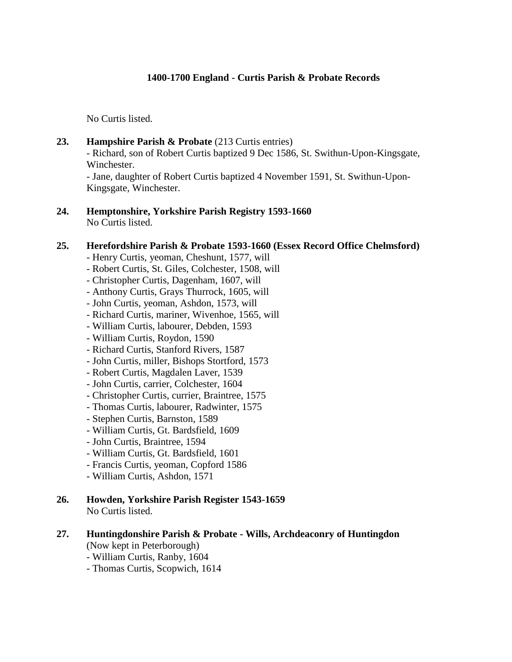No Curtis listed.

23. **Hampshire Parish & Probate** (213 Curtis entries)

- Richard, son of Robert Curtis baptized 9 Dec 1586, St. Swithun-Upon-Kingsgate, Winchester.

- Jane, daughter of Robert Curtis baptized 4 November 1591, St. Swithun-Upon-Kingsgate, Winchester.

**24. Hemptonshire, Yorkshire Parish Registry 1593-1660** No Curtis listed.

#### **25. Herefordshire Parish & Probate 1593-1660 (Essex Record Office Chelmsford)**

- Henry Curtis, yeoman, Cheshunt, 1577, will
- Robert Curtis, St. Giles, Colchester, 1508, will
- Christopher Curtis, Dagenham, 1607, will
- Anthony Curtis, Grays Thurrock, 1605, will
- John Curtis, yeoman, Ashdon, 1573, will
- Richard Curtis, mariner, Wivenhoe, 1565, will
- William Curtis, labourer, Debden, 1593
- William Curtis, Roydon, 1590
- Richard Curtis, Stanford Rivers, 1587
- John Curtis, miller, Bishops Stortford, 1573
- Robert Curtis, Magdalen Laver, 1539
- John Curtis, carrier, Colchester, 1604
- Christopher Curtis, currier, Braintree, 1575
- Thomas Curtis, labourer, Radwinter, 1575
- Stephen Curtis, Barnston, 1589
- William Curtis, Gt. Bardsfield, 1609
- John Curtis, Braintree, 1594
- William Curtis, Gt. Bardsfield, 1601
- Francis Curtis, yeoman, Copford 1586
- William Curtis, Ashdon, 1571
- **26. Howden, Yorkshire Parish Register 1543-1659** No Curtis listed.

#### **27. Huntingdonshire Parish & Probate - Wills, Archdeaconry of Huntingdon** (Now kept in Peterborough)

- William Curtis, Ranby, 1604
- Thomas Curtis, Scopwich, 1614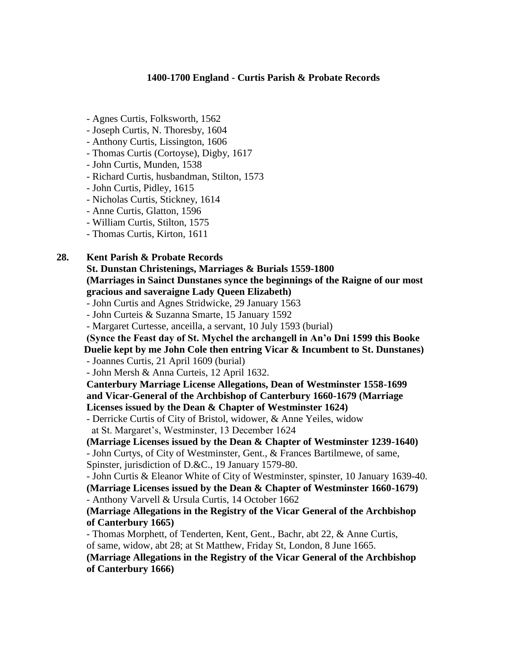- Agnes Curtis, Folksworth, 1562
- Joseph Curtis, N. Thoresby, 1604
- Anthony Curtis, Lissington, 1606
- Thomas Curtis (Cortoyse), Digby, 1617
- John Curtis, Munden, 1538
- Richard Curtis, husbandman, Stilton, 1573
- John Curtis, Pidley, 1615
- Nicholas Curtis, Stickney, 1614
- Anne Curtis, Glatton, 1596
- William Curtis, Stilton, 1575
- Thomas Curtis, Kirton, 1611

### **28. Kent Parish & Probate Records**

**St. Dunstan Christenings, Marriages & Burials 1559-1800 (Marriages in Sainct Dunstanes synce the beginnings of the Raigne of our most gracious and saveraigne Lady Queen Elizabeth)**

- John Curtis and Agnes Stridwicke, 29 January 1563
- John Curteis & Suzanna Smarte, 15 January 1592
- Margaret Curtesse, anceilla, a servant, 10 July 1593 (burial)

**(Synce the Feast day of St. Mychel the archangell in An'o Dni 1599 this Booke Duelie kept by me John Cole then entring Vicar & Incumbent to St. Dunstanes)**

- Joannes Curtis, 21 April 1609 (burial)

- John Mersh & Anna Curteis, 12 April 1632.

**Canterbury Marriage License Allegations, Dean of Westminster 1558-1699 and Vicar-General of the Archbishop of Canterbury 1660-1679 (Marriage Licenses issued by the Dean & Chapter of Westminster 1624)**

- Derricke Curtis of City of Bristol, widower, & Anne Yeiles, widow at St. Margaret's, Westminster, 13 December 1624

**(Marriage Licenses issued by the Dean & Chapter of Westminster 1239-1640)** - John Curtys, of City of Westminster, Gent., & Frances Bartilmewe, of same, Spinster, jurisdiction of D.&C., 19 January 1579-80.

- John Curtis & Eleanor White of City of Westminster, spinster, 10 January 1639-40.

**(Marriage Licenses issued by the Dean & Chapter of Westminster 1660-1679)** - Anthony Varvell & Ursula Curtis, 14 October 1662

#### **(Marriage Allegations in the Registry of the Vicar General of the Archbishop of Canterbury 1665)**

- Thomas Morphett, of Tenderten, Kent, Gent., Bachr, abt 22, & Anne Curtis, of same, widow, abt 28; at St Matthew, Friday St, London, 8 June 1665.

**(Marriage Allegations in the Registry of the Vicar General of the Archbishop of Canterbury 1666)**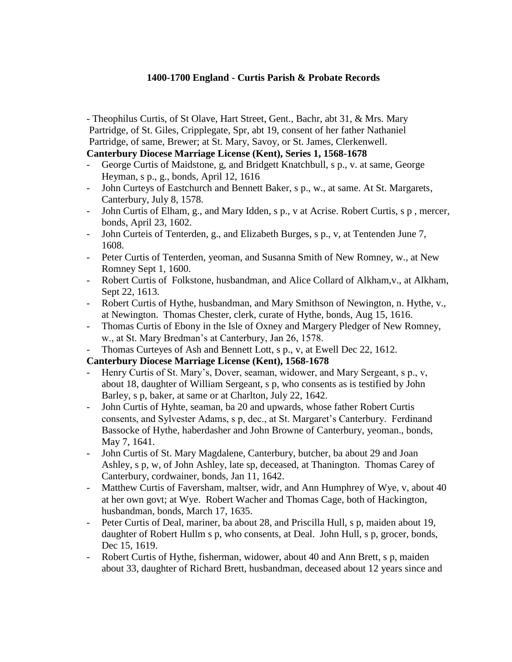- Theophilus Curtis, of St Olave, Hart Street, Gent., Bachr, abt 31, & Mrs. Mary Partridge, of St. Giles, Cripplegate, Spr, abt 19, consent of her father Nathaniel Partridge, of same, Brewer; at St. Mary, Savoy, or St. James, Clerkenwell.

# **Canterbury Diocese Marriage License (Kent), Series 1, 1568-1678**

- George Curtis of Maidstone, g, and Bridgett Knatchbull, s p., v. at same, George Heyman, s p., g., bonds, April 12, 1616
- John Curteys of Eastchurch and Bennett Baker, s p., w., at same. At St. Margarets, Canterbury, July 8, 1578.
- John Curtis of Elham, g., and Mary Idden, s p., v at Acrise. Robert Curtis, s p, mercer, bonds, April 23, 1602.
- John Curteis of Tenterden, g., and Elizabeth Burges, s p., v, at Tentenden June 7, 1608.
- Peter Curtis of Tenterden, yeoman, and Susanna Smith of New Romney, w., at New Romney Sept 1, 1600.
- Robert Curtis of Folkstone, husbandman, and Alice Collard of Alkham, v., at Alkham, Sept 22, 1613.
- Robert Curtis of Hythe, husbandman, and Mary Smithson of Newington, n. Hythe, v., at Newington. Thomas Chester, clerk, curate of Hythe, bonds, Aug 15, 1616.
- Thomas Curtis of Ebony in the Isle of Oxney and Margery Pledger of New Romney, w., at St. Mary Bredman's at Canterbury, Jan 26, 1578.
- Thomas Curteyes of Ash and Bennett Lott, s p., v, at Ewell Dec 22, 1612.

#### **Canterbury Diocese Marriage License (Kent), 1568-1678**

- Henry Curtis of St. Mary's, Dover, seaman, widower, and Mary Sergeant, s p., v, about 18, daughter of William Sergeant, s p, who consents as is testified by John Barley, s p, baker, at same or at Charlton, July 22, 1642.
- John Curtis of Hyhte, seaman, ba 20 and upwards, whose father Robert Curtis consents, and Sylvester Adams, s p, dec., at St. Margaret's Canterbury. Ferdinand Bassocke of Hythe, haberdasher and John Browne of Canterbury, yeoman., bonds, May 7, 1641.
- John Curtis of St. Mary Magdalene, Canterbury, butcher, ba about 29 and Joan Ashley, s p, w, of John Ashley, late sp, deceased, at Thanington. Thomas Carey of Canterbury, cordwainer, bonds, Jan 11, 1642.
- Matthew Curtis of Faversham, maltser, widr, and Ann Humphrey of Wye, v, about 40 at her own govt; at Wye. Robert Wacher and Thomas Cage, both of Hackington, husbandman, bonds, March 17, 1635.
- Peter Curtis of Deal, mariner, ba about 28, and Priscilla Hull, s p, maiden about 19, daughter of Robert Hullm s p, who consents, at Deal. John Hull, s p, grocer, bonds, Dec 15, 1619.
- Robert Curtis of Hythe, fisherman, widower, about 40 and Ann Brett, s p, maiden about 33, daughter of Richard Brett, husbandman, deceased about 12 years since and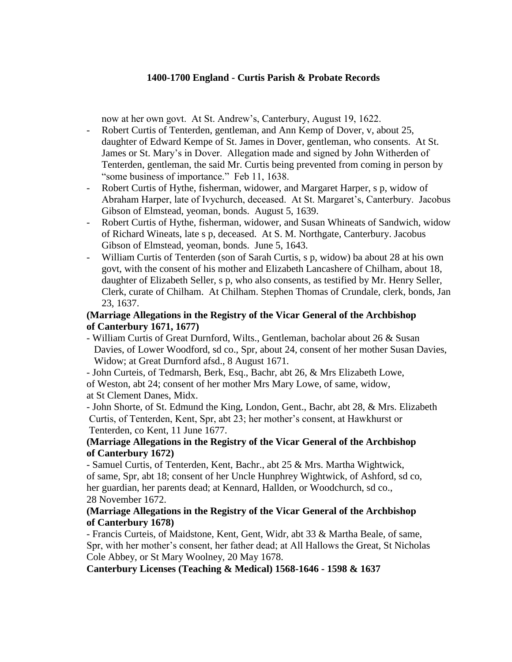now at her own govt. At St. Andrew's, Canterbury, August 19, 1622.

- Robert Curtis of Tenterden, gentleman, and Ann Kemp of Dover, v, about 25, daughter of Edward Kempe of St. James in Dover, gentleman, who consents. At St. James or St. Mary's in Dover. Allegation made and signed by John Witherden of Tenterden, gentleman, the said Mr. Curtis being prevented from coming in person by "some business of importance." Feb 11, 1638.
- Robert Curtis of Hythe, fisherman, widower, and Margaret Harper, s p, widow of Abraham Harper, late of Ivychurch, deceased. At St. Margaret's, Canterbury. Jacobus Gibson of Elmstead, yeoman, bonds. August 5, 1639.
- Robert Curtis of Hythe, fisherman, widower, and Susan Whineats of Sandwich, widow of Richard Wineats, late s p, deceased. At S. M. Northgate, Canterbury. Jacobus Gibson of Elmstead, yeoman, bonds. June 5, 1643.
- William Curtis of Tenterden (son of Sarah Curtis, s p, widow) ba about 28 at his own govt, with the consent of his mother and Elizabeth Lancashere of Chilham, about 18, daughter of Elizabeth Seller, s p, who also consents, as testified by Mr. Henry Seller, Clerk, curate of Chilham. At Chilham. Stephen Thomas of Crundale, clerk, bonds, Jan 23, 1637.

# **(Marriage Allegations in the Registry of the Vicar General of the Archbishop of Canterbury 1671, 1677)**

- William Curtis of Great Durnford, Wilts., Gentleman, bacholar about 26 & Susan Davies, of Lower Woodford, sd co., Spr, about 24, consent of her mother Susan Davies, Widow; at Great Durnford afsd., 8 August 1671.

- John Curteis, of Tedmarsh, Berk, Esq., Bachr, abt 26, & Mrs Elizabeth Lowe,

of Weston, abt 24; consent of her mother Mrs Mary Lowe, of same, widow, at St Clement Danes, Midx.

- John Shorte, of St. Edmund the King, London, Gent., Bachr, abt 28, & Mrs. Elizabeth Curtis, of Tenterden, Kent, Spr, abt 23; her mother's consent, at Hawkhurst or Tenterden, co Kent, 11 June 1677.

# **(Marriage Allegations in the Registry of the Vicar General of the Archbishop of Canterbury 1672)**

- Samuel Curtis, of Tenterden, Kent, Bachr., abt 25 & Mrs. Martha Wightwick, of same, Spr, abt 18; consent of her Uncle Hunphrey Wightwick, of Ashford, sd co, her guardian, her parents dead; at Kennard, Hallden, or Woodchurch, sd co., 28 November 1672.

#### **(Marriage Allegations in the Registry of the Vicar General of the Archbishop of Canterbury 1678)**

- Francis Curteis, of Maidstone, Kent, Gent, Widr, abt 33 & Martha Beale, of same, Spr, with her mother's consent, her father dead; at All Hallows the Great, St Nicholas Cole Abbey, or St Mary Woolney, 20 May 1678.

**Canterbury Licenses (Teaching & Medical) 1568-1646 - 1598 & 1637**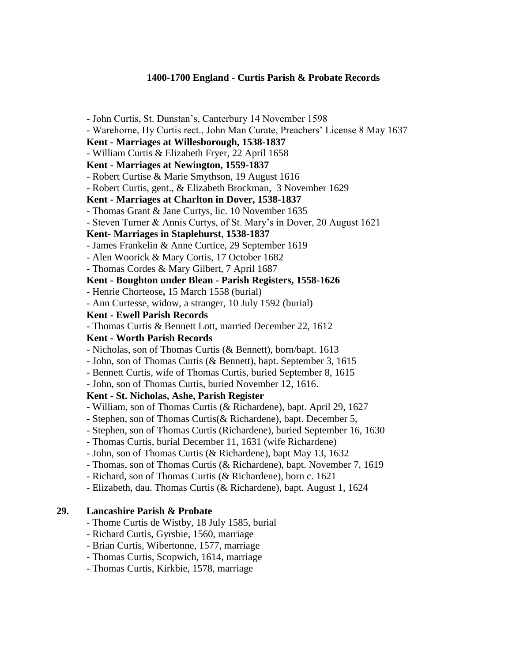- John Curtis, St. Dunstan's, Canterbury 14 November 1598 - Warehorne, Hy Curtis rect., John Man Curate, Preachers' License 8 May 1637 **Kent - Marriages at Willesborough, 1538-1837** - William Curtis & Elizabeth Fryer, 22 April 1658 **Kent - Marriages at Newington, 1559-1837** - Robert Curtise & Marie Smythson, 19 August 1616 - Robert Curtis, gent., & Elizabeth Brockman, 3 November 1629 **Kent - Marriages at Charlton in Dover, 1538-1837** - Thomas Grant & Jane Curtys, lic. 10 November 1635 - Steven Turner & Annis Curtys, of St. Mary's in Dover, 20 August 1621 **Kent- Marriages in Staplehurst**, **1538-1837** - James Frankelin & Anne Curtice, 29 September 1619 - Alen Woorick & Mary Cortis, 17 October 1682 - Thomas Cordes & Mary Gilbert, 7 April 1687 **Kent - Boughton under Blean - Parish Registers, 1558-1626** - Henrie Chorteose**,** 15 March 1558 (burial) - Ann Curtesse, widow, a stranger, 10 July 1592 (burial) **Kent - Ewell Parish Records** - Thomas Curtis & Bennett Lott, married December 22, 1612 **Kent - Worth Parish Records** - Nicholas, son of Thomas Curtis (& Bennett), born/bapt. 1613 - John, son of Thomas Curtis (& Bennett), bapt. September 3, 1615 - Bennett Curtis, wife of Thomas Curtis, buried September 8, 1615 - John, son of Thomas Curtis, buried November 12, 1616. **Kent - St. Nicholas, Ashe, Parish Register** - William, son of Thomas Curtis (& Richardene), bapt. April 29, 1627 - Stephen, son of Thomas Curtis(& Richardene), bapt. December 5, - Stephen, son of Thomas Curtis (Richardene), buried September 16, 1630 - Thomas Curtis, burial December 11, 1631 (wife Richardene) - John, son of Thomas Curtis (& Richardene), bapt May 13, 1632 - Thomas, son of Thomas Curtis (& Richardene), bapt. November 7, 1619 - Richard, son of Thomas Curtis (& Richardene), born c. 1621 - Elizabeth, dau. Thomas Curtis (& Richardene), bapt. August 1, 1624 **29. Lancashire Parish & Probate** - Thome Curtis de Wistby, 18 July 1585, burial
	- Richard Curtis, Gyrsbie, 1560, marriage
	- Brian Curtis, Wibertonne, 1577, marriage
	- Thomas Curtis, Scopwich, 1614, marriage
	- Thomas Curtis, Kirkbie, 1578, marriage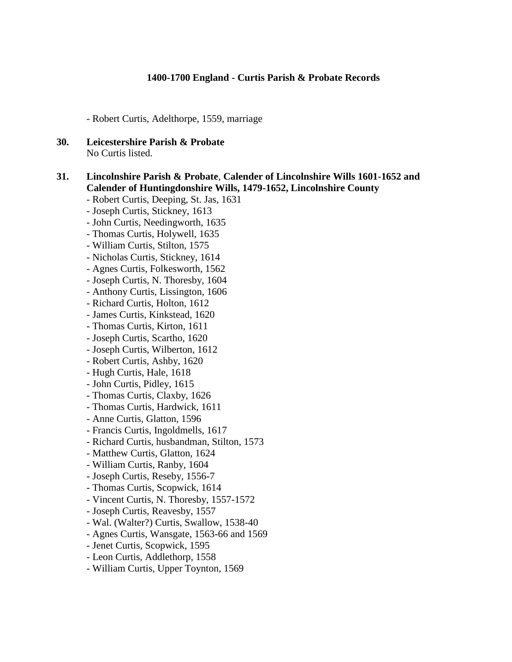- Robert Curtis, Adelthorpe, 1559, marriage

**30. Leicestershire Parish & Probate** No Curtis listed.

#### **31. Lincolnshire Parish & Probate**, **Calender of Lincolnshire Wills 1601-1652 and Calender of Huntingdonshire Wills, 1479-1652, Lincolnshire County**

- Robert Curtis, Deeping, St. Jas, 1631
- Joseph Curtis, Stickney, 1613
- John Curtis, Needingworth, 1635
- Thomas Curtis, Holywell, 1635
- William Curtis, Stilton, 1575
- Nicholas Curtis, Stickney, 1614
- Agnes Curtis, Folkesworth, 1562
- Joseph Curtis, N. Thoresby, 1604
- Anthony Curtis, Lissington, 1606
- Richard Curtis, Holton, 1612
- James Curtis, Kinkstead, 1620
- Thomas Curtis, Kirton, 1611
- Joseph Curtis, Scartho, 1620
- Joseph Curtis, Wilberton, 1612
- Robert Curtis, Ashby, 1620
- Hugh Curtis, Hale, 1618
- John Curtis, Pidley, 1615
- Thomas Curtis, Claxby, 1626
- Thomas Curtis, Hardwick, 1611
- Anne Curtis, Glatton, 1596
- Francis Curtis, Ingoldmells, 1617
- Richard Curtis, husbandman, Stilton, 1573
- Matthew Curtis, Glatton, 1624
- William Curtis, Ranby, 1604
- Joseph Curtis, Reseby, 1556-7
- Thomas Curtis, Scopwick, 1614
- Vincent Curtis, N. Thoresby, 1557-1572
- Joseph Curtis, Reavesby, 1557
- Wal. (Walter?) Curtis, Swallow, 1538-40
- Agnes Curtis, Wansgate, 1563-66 and 1569
- Jenet Curtis, Scopwick, 1595
- Leon Curtis, Addlethorp, 1558
- William Curtis, Upper Toynton, 1569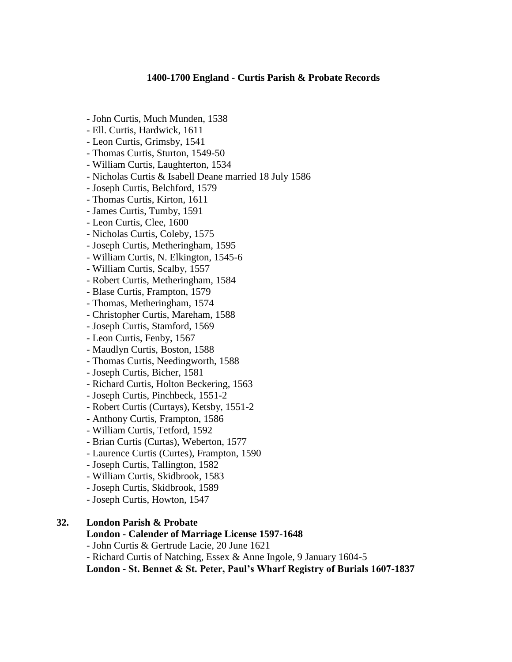- John Curtis, Much Munden, 1538
- Ell. Curtis, Hardwick, 1611
- Leon Curtis, Grimsby, 1541
- Thomas Curtis, Sturton, 1549-50
- William Curtis, Laughterton, 1534
- Nicholas Curtis & Isabell Deane married 18 July 1586
- Joseph Curtis, Belchford, 1579
- Thomas Curtis, Kirton, 1611
- James Curtis, Tumby, 1591
- Leon Curtis, Clee, 1600
- Nicholas Curtis, Coleby, 1575
- Joseph Curtis, Metheringham, 1595
- William Curtis, N. Elkington, 1545-6
- William Curtis, Scalby, 1557
- Robert Curtis, Metheringham, 1584
- Blase Curtis, Frampton, 1579
- Thomas, Metheringham, 1574
- Christopher Curtis, Mareham, 1588
- Joseph Curtis, Stamford, 1569
- Leon Curtis, Fenby, 1567
- Maudlyn Curtis, Boston, 1588
- Thomas Curtis, Needingworth, 1588
- Joseph Curtis, Bicher, 1581
- Richard Curtis, Holton Beckering, 1563
- Joseph Curtis, Pinchbeck, 1551-2
- Robert Curtis (Curtays), Ketsby, 1551-2
- Anthony Curtis, Frampton, 1586
- William Curtis, Tetford, 1592
- Brian Curtis (Curtas), Weberton, 1577
- Laurence Curtis (Curtes), Frampton, 1590
- Joseph Curtis, Tallington, 1582
- William Curtis, Skidbrook, 1583
- Joseph Curtis, Skidbrook, 1589
- Joseph Curtis, Howton, 1547

#### **32. London Parish & Probate**

#### **London - Calender of Marriage License 1597-1648**

- John Curtis & Gertrude Lacie, 20 June 1621
- Richard Curtis of Natching, Essex & Anne Ingole, 9 January 1604-5

**London - St. Bennet & St. Peter, Paul's Wharf Registry of Burials 1607-1837**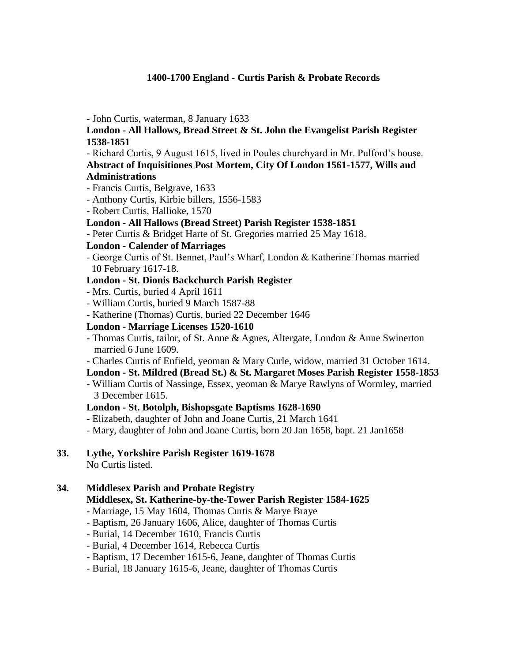- John Curtis, waterman, 8 January 1633

# **London - All Hallows, Bread Street & St. John the Evangelist Parish Register 1538-1851**

- Richard Curtis, 9 August 1615, lived in Poules churchyard in Mr. Pulford's house.

**Abstract of Inquisitiones Post Mortem, City Of London 1561-1577, Wills and Administrations**

- Francis Curtis, Belgrave, 1633
- Anthony Curtis, Kirbie billers, 1556-1583
- Robert Curtis, Hallioke, 1570

### **London - All Hallows (Bread Street) Parish Register 1538-1851**

- Peter Curtis & Bridget Harte of St. Gregories married 25 May 1618.

### **London - Calender of Marriages**

- George Curtis of St. Bennet, Paul's Wharf, London & Katherine Thomas married 10 February 1617-18.

### **London - St. Dionis Backchurch Parish Register**

- Mrs. Curtis, buried 4 April 1611
- William Curtis, buried 9 March 1587-88
- Katherine (Thomas) Curtis, buried 22 December 1646

# **London - Marriage Licenses 1520-1610**

- Thomas Curtis, tailor, of St. Anne & Agnes, Altergate, London & Anne Swinerton married 6 June 1609.
- Charles Curtis of Enfield, yeoman & Mary Curle, widow, married 31 October 1614.

# **London - St. Mildred (Bread St.) & St. Margaret Moses Parish Register 1558-1853**

- William Curtis of Nassinge, Essex, yeoman & Marye Rawlyns of Wormley, married 3 December 1615.

#### **London - St. Botolph, Bishopsgate Baptisms 1628-1690**

- Elizabeth, daughter of John and Joane Curtis, 21 March 1641
- Mary, daughter of John and Joane Curtis, born 20 Jan 1658, bapt. 21 Jan1658

#### **33. Lythe, Yorkshire Parish Register 1619-1678** No Curtis listed.

# **34. Middlesex Parish and Probate Registry Middlesex, St. Katherine-by-the-Tower Parish Register 1584-1625**

- Marriage, 15 May 1604, Thomas Curtis & Marye Braye
- Baptism, 26 January 1606, Alice, daughter of Thomas Curtis
- Burial, 14 December 1610, Francis Curtis
- Burial, 4 December 1614, Rebecca Curtis
- Baptism, 17 December 1615-6, Jeane, daughter of Thomas Curtis
- Burial, 18 January 1615-6, Jeane, daughter of Thomas Curtis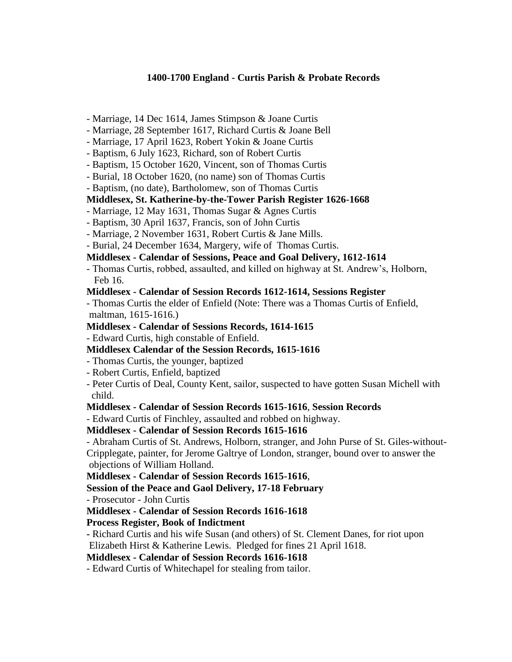- Marriage, 14 Dec 1614, James Stimpson & Joane Curtis
- Marriage, 28 September 1617, Richard Curtis & Joane Bell
- Marriage, 17 April 1623, Robert Yokin & Joane Curtis
- Baptism, 6 July 1623, Richard, son of Robert Curtis
- Baptism, 15 October 1620, Vincent, son of Thomas Curtis
- Burial, 18 October 1620, (no name) son of Thomas Curtis
- Baptism, (no date), Bartholomew, son of Thomas Curtis

### **Middlesex, St. Katherine-by-the-Tower Parish Register 1626-1668**

- Marriage, 12 May 1631, Thomas Sugar & Agnes Curtis
- Baptism, 30 April 1637, Francis, son of John Curtis
- Marriage, 2 November 1631, Robert Curtis & Jane Mills.
- Burial, 24 December 1634, Margery, wife of Thomas Curtis.

### **Middlesex - Calendar of Sessions, Peace and Goal Delivery, 1612-1614**

- Thomas Curtis, robbed, assaulted, and killed on highway at St. Andrew's, Holborn, Feb 16.

#### **Middlesex - Calendar of Session Records 1612-1614, Sessions Register**

- Thomas Curtis the elder of Enfield (Note: There was a Thomas Curtis of Enfield, maltman, 1615-1616.)

### **Middlesex - Calendar of Sessions Records, 1614-1615**

- Edward Curtis, high constable of Enfield.

# **Middlesex Calendar of the Session Records, 1615-1616**

- Thomas Curtis, the younger, baptized
- Robert Curtis, Enfield, baptized
- Peter Curtis of Deal, County Kent, sailor, suspected to have gotten Susan Michell with child.

# **Middlesex - Calendar of Session Records 1615-1616**, **Session Records**

- Edward Curtis of Finchley, assaulted and robbed on highway.

# **Middlesex - Calendar of Session Records 1615-1616**

- Abraham Curtis of St. Andrews, Holborn, stranger, and John Purse of St. Giles-without-Cripplegate, painter, for Jerome Galtrye of London, stranger, bound over to answer the objections of William Holland.

# **Middlesex - Calendar of Session Records 1615-1616**,

**Session of the Peace and Gaol Delivery, 17-18 February**

- Prosecutor - John Curtis

**Middlesex - Calendar of Session Records 1616-1618**

# **Process Register, Book of Indictment**

**-** Richard Curtis and his wife Susan (and others) of St. Clement Danes, for riot upon Elizabeth Hirst & Katherine Lewis. Pledged for fines 21 April 1618.

#### **Middlesex - Calendar of Session Records 1616-1618**

- Edward Curtis of Whitechapel for stealing from tailor.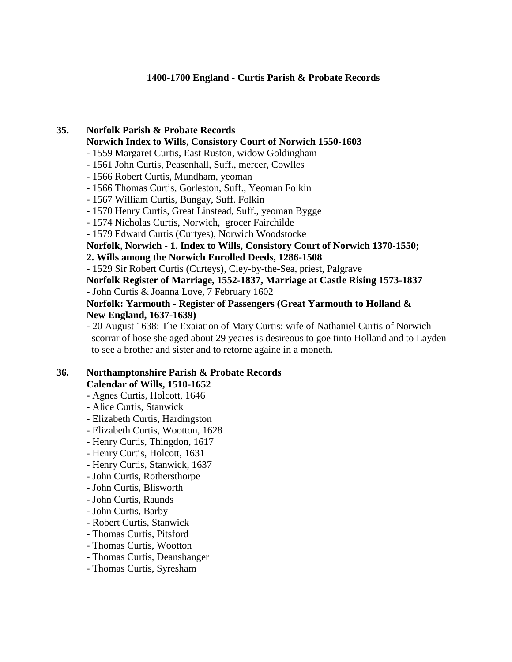# **35. Norfolk Parish & Probate Records Norwich Index to Wills**, **Consistory Court of Norwich 1550-1603**

- 1559 Margaret Curtis, East Ruston, widow Goldingham
- 1561 John Curtis, Peasenhall, Suff., mercer, Cowlles
- 1566 Robert Curtis, Mundham, yeoman
- 1566 Thomas Curtis, Gorleston, Suff., Yeoman Folkin
- 1567 William Curtis, Bungay, Suff. Folkin
- 1570 Henry Curtis, Great Linstead, Suff., yeoman Bygge
- 1574 Nicholas Curtis, Norwich, grocer Fairchilde
- 1579 Edward Curtis (Curtyes), Norwich Woodstocke

**Norfolk, Norwich - 1. Index to Wills, Consistory Court of Norwich 1370-1550;** 

### **2. Wills among the Norwich Enrolled Deeds, 1286-1508**

- 1529 Sir Robert Curtis (Curteys), Cley-by-the-Sea, priest, Palgrave

**Norfolk Register of Marriage, 1552-1837, Marriage at Castle Rising 1573-1837** - John Curtis & Joanna Love, 7 February 1602

### **Norfolk: Yarmouth - Register of Passengers (Great Yarmouth to Holland & New England, 1637-1639)**

- 20 August 1638: The Exaiation of Mary Curtis: wife of Nathaniel Curtis of Norwich scorrar of hose she aged about 29 yeares is desireous to goe tinto Holland and to Layden to see a brother and sister and to retorne againe in a moneth.

# **36. Northamptonshire Parish & Probate Records**

- **Calendar of Wills, 1510-1652**
- **-** Agnes Curtis, Holcott, 1646
- **-** Alice Curtis, Stanwick
- **-** Elizabeth Curtis, Hardingston
- Elizabeth Curtis, Wootton, 1628
- Henry Curtis, Thingdon, 1617
- Henry Curtis, Holcott, 1631
- Henry Curtis, Stanwick, 1637
- John Curtis, Rothersthorpe
- John Curtis, Blisworth
- John Curtis, Raunds
- John Curtis, Barby
- Robert Curtis, Stanwick
- Thomas Curtis, Pitsford
- Thomas Curtis, Wootton
- Thomas Curtis, Deanshanger
- Thomas Curtis, Syresham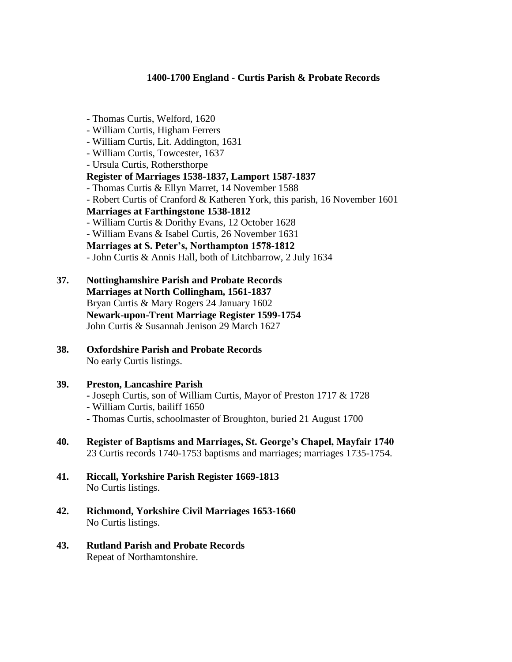- William Curtis, Lit. Addington, 1631 - William Curtis, Towcester, 1637 - Ursula Curtis, Rothersthorpe **Register of Marriages 1538-1837, Lamport 1587-1837** - Thomas Curtis & Ellyn Marret, 14 November 1588 - Robert Curtis of Cranford & Katheren York, this parish, 16 November 1601 **Marriages at Farthingstone 1538-1812** - William Curtis & Dorithy Evans, 12 October 1628 - William Evans & Isabel Curtis, 26 November 1631 **Marriages at S. Peter's, Northampton 1578-1812** - John Curtis & Annis Hall, both of Litchbarrow, 2 July 1634
- **37. Nottinghamshire Parish and Probate Records Marriages at North Collingham, 1561-1837** Bryan Curtis & Mary Rogers 24 January 1602 **Newark-upon-Trent Marriage Register 1599-1754** John Curtis & Susannah Jenison 29 March 1627
- **38. Oxfordshire Parish and Probate Records** No early Curtis listings.

- Thomas Curtis, Welford, 1620 - William Curtis, Higham Ferrers

#### **39. Preston, Lancashire Parish**

- **-** Joseph Curtis, son of William Curtis, Mayor of Preston 1717 & 1728
- William Curtis, bailiff 1650
- Thomas Curtis, schoolmaster of Broughton, buried 21 August 1700
- **40. Register of Baptisms and Marriages, St. George's Chapel, Mayfair 1740** 23 Curtis records 1740-1753 baptisms and marriages; marriages 1735-1754.
- **41. Riccall, Yorkshire Parish Register 1669-1813** No Curtis listings.
- **42. Richmond, Yorkshire Civil Marriages 1653-1660** No Curtis listings.
- **43. Rutland Parish and Probate Records** Repeat of Northamtonshire.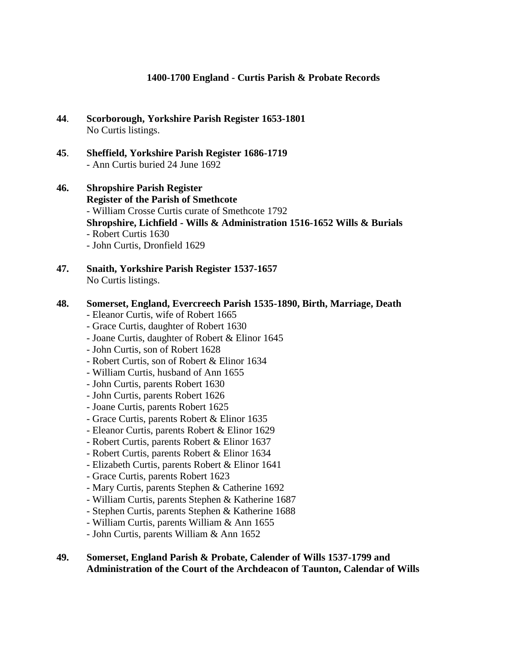- **44**. **Scorborough, Yorkshire Parish Register 1653-1801** No Curtis listings.
- **45**. **Sheffield, Yorkshire Parish Register 1686-1719** - Ann Curtis buried 24 June 1692
- **46. Shropshire Parish Register Register of the Parish of Smethcote** - William Crosse Curtis curate of Smethcote 1792 **Shropshire, Lichfield - Wills & Administration 1516-1652 Wills & Burials** - Robert Curtis 1630 - John Curtis, Dronfield 1629
- **47. Snaith, Yorkshire Parish Register 1537-1657** No Curtis listings.

### **48. Somerset, England, Evercreech Parish 1535-1890, Birth, Marriage, Death**

- Eleanor Curtis, wife of Robert 1665
- Grace Curtis, daughter of Robert 1630
- Joane Curtis, daughter of Robert & Elinor 1645
- John Curtis, son of Robert 1628
- Robert Curtis, son of Robert & Elinor 1634
- William Curtis, husband of Ann 1655
- John Curtis, parents Robert 1630
- John Curtis, parents Robert 1626
- Joane Curtis, parents Robert 1625
- Grace Curtis, parents Robert & Elinor 1635
- Eleanor Curtis, parents Robert & Elinor 1629
- Robert Curtis, parents Robert & Elinor 1637
- Robert Curtis, parents Robert & Elinor 1634
- Elizabeth Curtis, parents Robert & Elinor 1641
- Grace Curtis, parents Robert 1623
- Mary Curtis, parents Stephen & Catherine 1692
- William Curtis, parents Stephen & Katherine 1687
- Stephen Curtis, parents Stephen & Katherine 1688
- William Curtis, parents William & Ann 1655
- John Curtis, parents William & Ann 1652

#### **49. Somerset, England Parish & Probate, Calender of Wills 1537-1799 and Administration of the Court of the Archdeacon of Taunton, Calendar of Wills**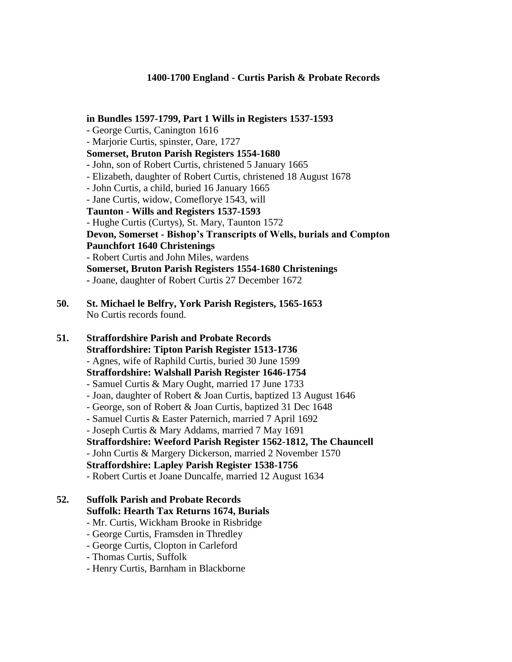**in Bundles 1597-1799, Part 1 Wills in Registers 1537-1593** - George Curtis, Canington 1616 - Marjorie Curtis, spinster, Oare, 1727 **Somerset, Bruton Parish Registers 1554-1680 -** John, son of Robert Curtis, christened 5 January 1665 - Elizabeth, daughter of Robert Curtis, christened 18 August 1678 - John Curtis, a child, buried 16 January 1665 - Jane Curtis, widow, Comeflorye 1543, will **Taunton - Wills and Registers 1537-1593**  - Hughe Curtis (Curtys), St. Mary, Taunton 1572 **Devon, Somerset - Bishop's Transcripts of Wells, burials and Compton Paunchfort 1640 Christenings** - Robert Curtis and John Miles, wardens **Somerset, Bruton Parish Registers 1554-1680 Christenings -** Joane, daughter of Robert Curtis 27 December 1672

**50. St. Michael le Belfry, York Parish Registers, 1565-1653** No Curtis records found.

**51. Straffordshire Parish and Probate Records**

**Straffordshire: Tipton Parish Register 1513-1736**

- Agnes, wife of Raphild Curtis, buried 30 June 1599

**Straffordshire: Walshall Parish Register 1646-1754**

- Samuel Curtis & Mary Ought, married 17 June 1733
- Joan, daughter of Robert & Joan Curtis, baptized 13 August 1646
- George, son of Robert & Joan Curtis, baptized 31 Dec 1648
- Samuel Curtis & Easter Paternich, married 7 April 1692
- Joseph Curtis & Mary Addams, married 7 May 1691
- **Straffordshire: Weeford Parish Register 1562-1812, The Chauncell**

- John Curtis & Margery Dickerson, married 2 November 1570

# **Straffordshire: Lapley Parish Register 1538-1756**

- Robert Curtis et Joane Duncalfe, married 12 August 1634

# **52. Suffolk Parish and Probate Records Suffolk: Hearth Tax Returns 1674, Burials**

- Mr. Curtis, Wickham Brooke in Risbridge
- George Curtis, Framsden in Thredley
- George Curtis, Clopton in Carleford
- Thomas Curtis, Suffolk
- Henry Curtis, Barnham in Blackborne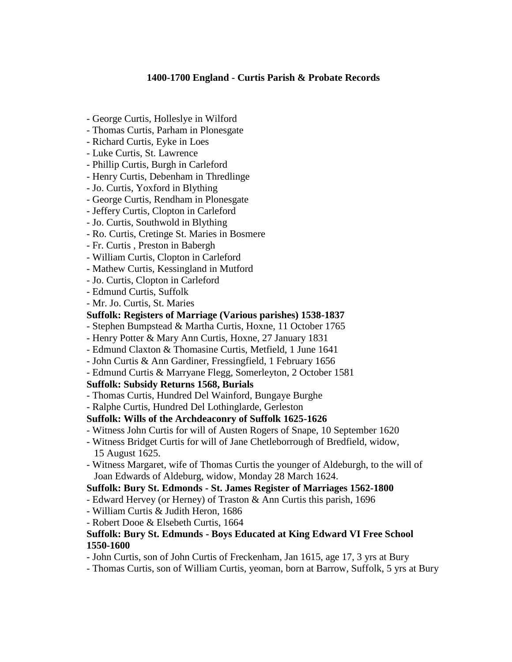- George Curtis, Holleslye in Wilford
- Thomas Curtis, Parham in Plonesgate
- Richard Curtis, Eyke in Loes
- Luke Curtis, St. Lawrence
- Phillip Curtis, Burgh in Carleford
- Henry Curtis, Debenham in Thredlinge
- Jo. Curtis, Yoxford in Blything
- George Curtis, Rendham in Plonesgate
- Jeffery Curtis, Clopton in Carleford
- Jo. Curtis, Southwold in Blything
- Ro. Curtis, Cretinge St. Maries in Bosmere
- Fr. Curtis , Preston in Babergh
- William Curtis, Clopton in Carleford
- Mathew Curtis, Kessingland in Mutford
- Jo. Curtis, Clopton in Carleford
- Edmund Curtis, Suffolk
- Mr. Jo. Curtis, St. Maries

### **Suffolk: Registers of Marriage (Various parishes) 1538-1837**

- Stephen Bumpstead & Martha Curtis, Hoxne, 11 October 1765
- Henry Potter & Mary Ann Curtis, Hoxne, 27 January 1831
- Edmund Claxton & Thomasine Curtis, Metfield, 1 June 1641
- John Curtis & Ann Gardiner, Fressingfield, 1 February 1656
- Edmund Curtis & Marryane Flegg, Somerleyton, 2 October 1581

# **Suffolk: Subsidy Returns 1568, Burials**

- Thomas Curtis, Hundred Del Wainford, Bungaye Burghe
- Ralphe Curtis, Hundred Del Lothinglarde, Gerleston

# **Suffolk: Wills of the Archdeaconry of Suffolk 1625-1626**

- Witness John Curtis for will of Austen Rogers of Snape, 10 September 1620
- Witness Bridget Curtis for will of Jane Chetleborrough of Bredfield, widow, 15 August 1625.
- Witness Margaret, wife of Thomas Curtis the younger of Aldeburgh, to the will of Joan Edwards of Aldeburg, widow, Monday 28 March 1624.

# **Suffolk: Bury St. Edmonds - St. James Register of Marriages 1562-1800**

- Edward Hervey (or Herney) of Traston & Ann Curtis this parish, 1696
- William Curtis & Judith Heron, 1686
- Robert Dooe & Elsebeth Curtis, 1664

### **Suffolk: Bury St. Edmunds - Boys Educated at King Edward VI Free School 1550-1600**

- John Curtis, son of John Curtis of Freckenham, Jan 1615, age 17, 3 yrs at Bury
- Thomas Curtis, son of William Curtis, yeoman, born at Barrow, Suffolk, 5 yrs at Bury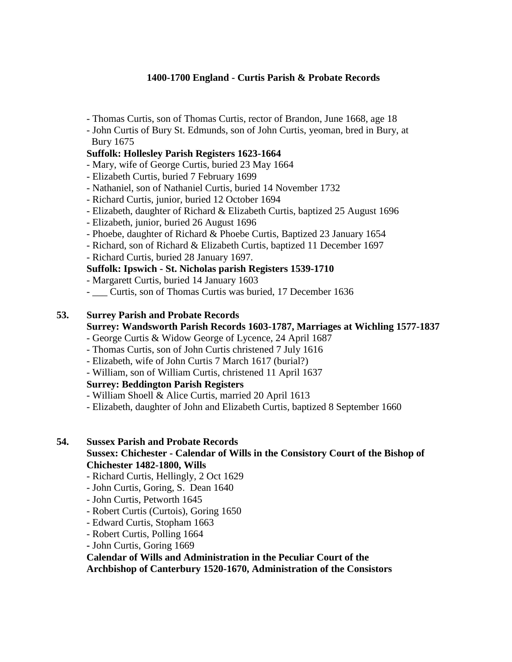- Thomas Curtis, son of Thomas Curtis, rector of Brandon, June 1668, age 18
- John Curtis of Bury St. Edmunds, son of John Curtis, yeoman, bred in Bury, at Bury 1675

# **Suffolk: Hollesley Parish Registers 1623-1664**

- Mary, wife of George Curtis, buried 23 May 1664
- Elizabeth Curtis, buried 7 February 1699
- Nathaniel, son of Nathaniel Curtis, buried 14 November 1732
- Richard Curtis, junior, buried 12 October 1694
- Elizabeth, daughter of Richard & Elizabeth Curtis, baptized 25 August 1696
- Elizabeth, junior, buried 26 August 1696
- Phoebe, daughter of Richard & Phoebe Curtis, Baptized 23 January 1654
- Richard, son of Richard & Elizabeth Curtis, baptized 11 December 1697
- Richard Curtis, buried 28 January 1697.

### **Suffolk: Ipswich - St. Nicholas parish Registers 1539-1710**

- Margarett Curtis, buried 14 January 1603
- Curtis, son of Thomas Curtis was buried, 17 December 1636

### **53. Surrey Parish and Probate Records**

# **Surrey: Wandsworth Parish Records 1603-1787, Marriages at Wichling 1577-1837**

- George Curtis & Widow George of Lycence, 24 April 1687
- Thomas Curtis, son of John Curtis christened 7 July 1616
- Elizabeth, wife of John Curtis 7 March 1617 (burial?)
- William, son of William Curtis, christened 11 April 1637

# **Surrey: Beddington Parish Registers**

- William Shoell & Alice Curtis, married 20 April 1613
- Elizabeth, daughter of John and Elizabeth Curtis, baptized 8 September 1660

#### **54. Sussex Parish and Probate Records**

# **Sussex: Chichester - Calendar of Wills in the Consistory Court of the Bishop of Chichester 1482-1800, Wills**

- Richard Curtis, Hellingly, 2 Oct 1629
- John Curtis, Goring, S. Dean 1640
- John Curtis, Petworth 1645
- Robert Curtis (Curtois), Goring 1650
- Edward Curtis, Stopham 1663
- Robert Curtis, Polling 1664
- **-** John Curtis, Goring 1669

### **Calendar of Wills and Administration in the Peculiar Court of the Archbishop of Canterbury 1520-1670, Administration of the Consistors**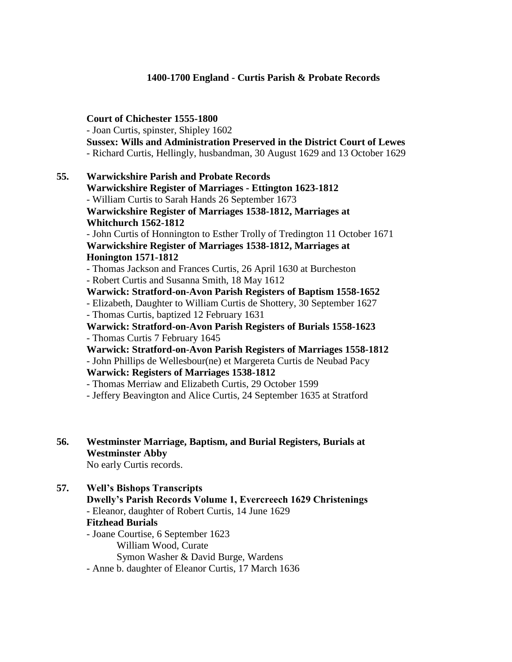- Joan Curtis, spinster, Shipley 1602 **Sussex: Wills and Administration Preserved in the District Court of Lewes** - Richard Curtis, Hellingly, husbandman, 30 August 1629 and 13 October 1629 **55. Warwickshire Parish and Probate Records Warwickshire Register of Marriages - Ettington 1623-1812** - William Curtis to Sarah Hands 26 September 1673 **Warwickshire Register of Marriages 1538-1812, Marriages at Whitchurch 1562-1812** - John Curtis of Honnington to Esther Trolly of Tredington 11 October 1671 **Warwickshire Register of Marriages 1538-1812, Marriages at Honington 1571-1812** - Thomas Jackson and Frances Curtis, 26 April 1630 at Burcheston - Robert Curtis and Susanna Smith, 18 May 1612 **Warwick: Stratford-on-Avon Parish Registers of Baptism 1558-1652** - Elizabeth, Daughter to William Curtis de Shottery, 30 September 1627 - Thomas Curtis, baptized 12 February 1631 **Warwick: Stratford-on-Avon Parish Registers of Burials 1558-1623** - Thomas Curtis 7 February 1645 **Warwick: Stratford-on-Avon Parish Registers of Marriages 1558-1812** - John Phillips de Wellesbour(ne) et Margereta Curtis de Neubad Pacy **Warwick: Registers of Marriages 1538-1812** - Thomas Merriaw and Elizabeth Curtis, 29 October 1599 - Jeffery Beavington and Alice Curtis, 24 September 1635 at Stratford

**56. Westminster Marriage, Baptism, and Burial Registers, Burials at Westminster Abby** No early Curtis records.

# **57. Well's Bishops Transcripts**

**Dwelly's Parish Records Volume 1, Evercreech 1629 Christenings** - Eleanor, daughter of Robert Curtis, 14 June 1629

#### **Fitzhead Burials**

- Joane Courtise, 6 September 1623

**Court of Chichester 1555-1800**

William Wood, Curate Symon Washer & David Burge, Wardens

- Anne b. daughter of Eleanor Curtis, 17 March 1636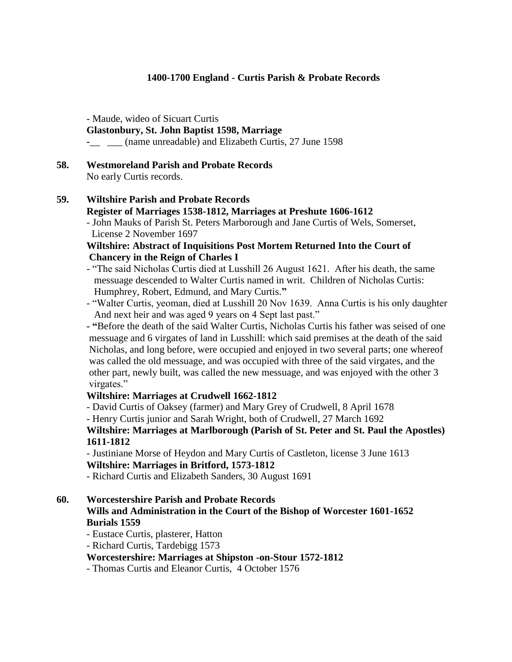#### - Maude, wideo of Sicuart Curtis **Glastonbury, St. John Baptist 1598, Marriage -**\_\_ \_\_\_ (name unreadable) and Elizabeth Curtis, 27 June 1598

**58. Westmoreland Parish and Probate Records** No early Curtis records.

# **59. Wiltshire Parish and Probate Records Register of Marriages 1538-1812, Marriages at Preshute 1606-1612**

- John Mauks of Parish St. Peters Marborough and Jane Curtis of Wels, Somerset, License 2 November 1697

# **Wiltshire: Abstract of Inquisitions Post Mortem Returned Into the Court of Chancery in the Reign of Charles I**

- "The said Nicholas Curtis died at Lusshill 26 August 1621. After his death, the same messuage descended to Walter Curtis named in writ. Children of Nicholas Curtis: Humphrey, Robert, Edmund, and Mary Curtis.**"**
- "Walter Curtis, yeoman, died at Lusshill 20 Nov 1639. Anna Curtis is his only daughter And next heir and was aged 9 years on 4 Sept last past."

**- "**Before the death of the said Walter Curtis, Nicholas Curtis his father was seised of one messuage and 6 virgates of land in Lusshill: which said premises at the death of the said Nicholas, and long before, were occupied and enjoyed in two several parts; one whereof was called the old messuage, and was occupied with three of the said virgates, and the other part, newly built, was called the new messuage, and was enjoyed with the other 3 virgates."

#### **Wiltshire: Marriages at Crudwell 1662-1812**

- David Curtis of Oaksey (farmer) and Mary Grey of Crudwell, 8 April 1678

- Henry Curtis junior and Sarah Wright, both of Crudwell, 27 March 1692

### **Wiltshire: Marriages at Marlborough (Parish of St. Peter and St. Paul the Apostles) 1611-1812**

- Justiniane Morse of Heydon and Mary Curtis of Castleton, license 3 June 1613 **Wiltshire: Marriages in Britford, 1573-1812**

- Richard Curtis and Elizabeth Sanders, 30 August 1691

# **60. Worcestershire Parish and Probate Records**

# **Wills and Administration in the Court of the Bishop of Worcester 1601-1652 Burials 1559**

- Eustace Curtis, plasterer, Hatton

- Richard Curtis, Tardebigg 1573

# **Worcestershire: Marriages at Shipston -on-Stour 1572-1812**

- Thomas Curtis and Eleanor Curtis, 4 October 1576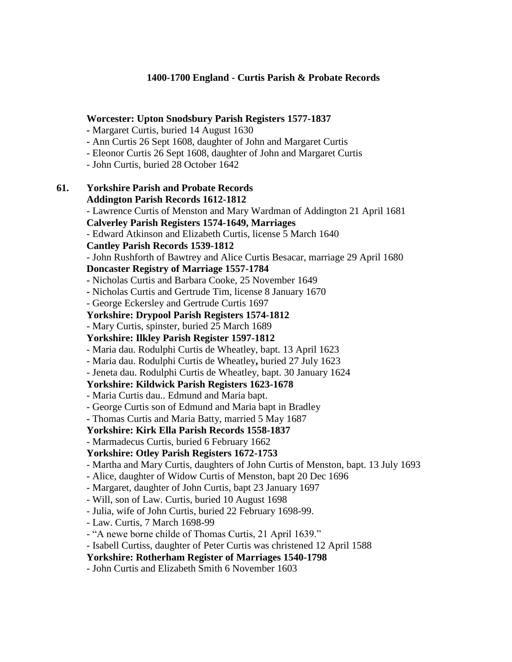#### **Worcester: Upton Snodsbury Parish Registers 1577-1837**

- **-** Margaret Curtis, buried 14 August 1630
- **-** Ann Curtis 26 Sept 1608, daughter of John and Margaret Curtis
- Eleonor Curtis 26 Sept 1608, daughter of John and Margaret Curtis
- John Curtis, buried 28 October 1642

# **61. Yorkshire Parish and Probate Records Addington Parish Records 1612-1812** - Lawrence Curtis of Menston and Mary Wardman of Addington 21 April 1681 **Calverley Parish Registers 1574-1649, Marriages** - Edward Atkinson and Elizabeth Curtis, license 5 March 1640 **Cantley Parish Records 1539-1812** - John Rushforth of Bawtrey and Alice Curtis Besacar, marriage 29 April 1680 **Doncaster Registry of Marriage 1557-1784 -** Nicholas Curtis and Barbara Cooke, 25 November 1649 **-** Nicholas Curtis and Gertrude Tim, license 8 January 1670 - George Eckersley and Gertrude Curtis 1697 **Yorkshire: Drypool Parish Registers 1574-1812** - Mary Curtis, spinster, buried 25 March 1689 **Yorkshire: Ilkley Parish Register 1597-1812** - Maria dau. Rodulphi Curtis de Wheatley, bapt. 13 April 1623 - Maria dau. Rodulphi Curtis de Wheatley**,** buried 27 July 1623 - Jeneta dau. Rodulphi Curtis de Wheatley, bapt. 30 January 1624 **Yorkshire: Kildwick Parish Registers 1623-1678** - Maria Curtis dau.. Edmund and Maria bapt. - George Curtis son of Edmund and Maria bapt in Bradley **-** Thomas Curtis and Maria Batty, married 5 May 1687 **Yorkshire: Kirk Ella Parish Records 1558-1837** - Marmadecus Curtis, buried 6 February 1662 **Yorkshire: Otley Parish Registers 1672-1753** - Martha and Mary Curtis, daughters of John Curtis of Menston, bapt. 13 July 1693 - Alice, daughter of Widow Curtis of Menston, bapt 20 Dec 1696 - Margaret, daughter of John Curtis, bapt 23 January 1697 - Will, son of Law. Curtis, buried 10 August 1698 - Julia, wife of John Curtis, buried 22 February 1698-99. - Law. Curtis, 7 March 1698-99

- "A newe borne childe of Thomas Curtis, 21 April 1639."
- Isabell Curtiss, daughter of Peter Curtis was christened 12 April 1588

**Yorkshire: Rotherham Register of Marriages 1540-1798**

- John Curtis and Elizabeth Smith 6 November 1603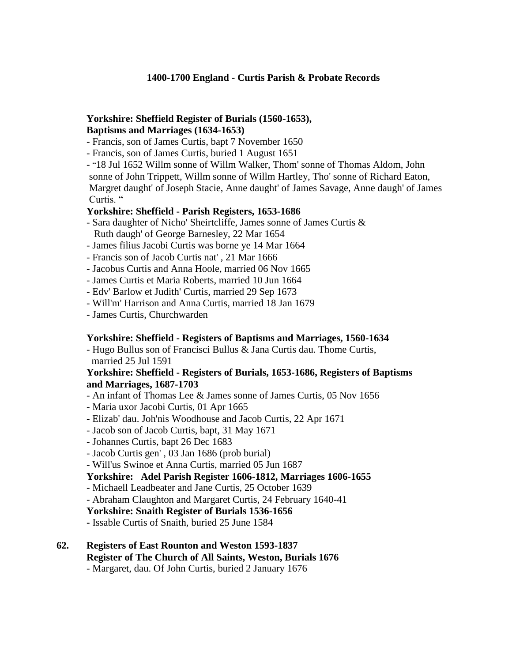# **Yorkshire: Sheffield Register of Burials (1560-1653), Baptisms and Marriages (1634-1653)**

- Francis, son of James Curtis, bapt 7 November 1650
- Francis, son of James Curtis, buried 1 August 1651

- "18 Jul 1652 Willm sonne of Willm Walker, Thom' sonne of Thomas Aldom, John sonne of John Trippett, Willm sonne of Willm Hartley, Tho' sonne of Richard Eaton, Margret daught' of Joseph Stacie, Anne daught' of James Savage, Anne daugh' of James Curtis. "

### **Yorkshire: Sheffield - Parish Registers, 1653-1686**

- Sara daughter of Nicho' Sheirtcliffe, James sonne of James Curtis & Ruth daugh' of George Barnesley, 22 Mar 1654
- James filius Jacobi Curtis was borne ye 14 Mar 1664
- Francis son of Jacob Curtis nat' , 21 Mar 1666
- Jacobus Curtis and Anna Hoole, married 06 Nov 1665
- James Curtis et Maria Roberts, married 10 Jun 1664
- Edv' Barlow et Judith' Curtis, married 29 Sep 1673
- Will'm' Harrison and Anna Curtis, married 18 Jan 1679
- James Curtis, Churchwarden

#### **Yorkshire: Sheffield - Registers of Baptisms and Marriages, 1560-1634**

- Hugo Bullus son of Francisci Bullus & Jana Curtis dau. Thome Curtis, married 25 Jul 1591

#### **Yorkshire: Sheffield - Registers of Burials, 1653-1686, Registers of Baptisms and Marriages, 1687-1703**

- An infant of Thomas Lee & James sonne of James Curtis, 05 Nov 1656
- Maria uxor Jacobi Curtis, 01 Apr 1665
- Elizab' dau. Joh'nis Woodhouse and Jacob Curtis, 22 Apr 1671
- Jacob son of Jacob Curtis, bapt, 31 May 1671
- Johannes Curtis, bapt 26 Dec 1683
- Jacob Curtis gen' , 03 Jan 1686 (prob burial)
- Will'us Swinoe et Anna Curtis, married 05 Jun 1687

#### **Yorkshire: Adel Parish Register 1606-1812, Marriages 1606-1655**

- Michaell Leadbeater and Jane Curtis, 25 October 1639
- Abraham Claughton and Margaret Curtis, 24 February 1640-41

#### **Yorkshire: Snaith Register of Burials 1536-1656**

**-** Issable Curtis of Snaith, buried 25 June 1584

#### **62. Registers of East Rounton and Weston 1593-1837 Register of The Church of All Saints, Weston, Burials 1676**

- Margaret, dau. Of John Curtis, buried 2 January 1676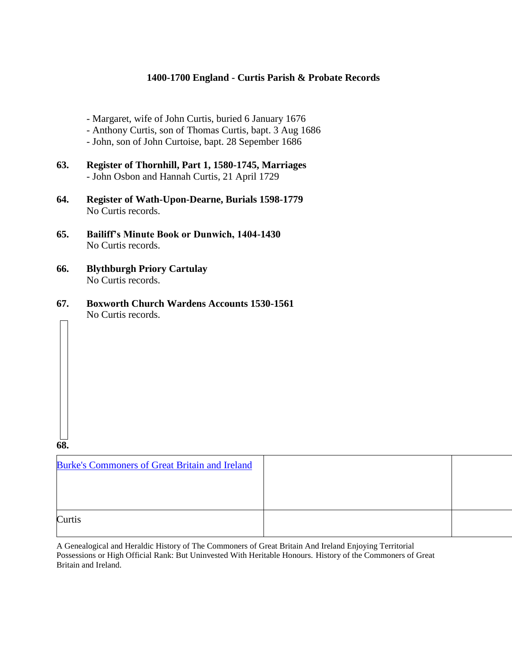- Margaret, wife of John Curtis, buried 6 January 1676
- Anthony Curtis, son of Thomas Curtis, bapt. 3 Aug 1686
- John, son of John Curtoise, bapt. 28 Sepember 1686
- **63. Register of Thornhill, Part 1, 1580-1745, Marriages** - John Osbon and Hannah Curtis, 21 April 1729
- **64. Register of Wath-Upon-Dearne, Burials 1598-1779** No Curtis records.
- **65. Bailiff's Minute Book or Dunwich, 1404-1430** No Curtis records.
- **66. Blythburgh Priory Cartulay** No Curtis records.
- **67. Boxworth Church Wardens Accounts 1530-1561** No Curtis records.

**68.**

| <b>Burke's Commoners of Great Britain and Ireland</b> |  |
|-------------------------------------------------------|--|
|                                                       |  |
|                                                       |  |
| Curtis                                                |  |

A Genealogical and Heraldic History of The Commoners of Great Britain And Ireland Enjoying Territorial Possessions or High Official Rank: But Uninvested With Heritable Honours. History of the Commoners of Great Britain and Ireland.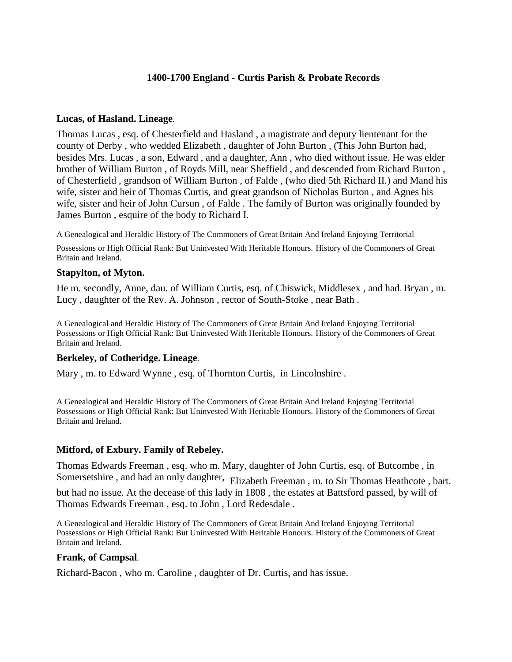#### **Lucas, of Hasland. Lineage**.

Thomas Lucas , esq. of Chesterfield and Hasland , a magistrate and deputy lientenant for the county of Derby , who wedded Elizabeth , daughter of John Burton , (This John Burton had, besides Mrs. Lucas , a son, Edward , and a daughter, Ann , who died without issue. He was elder brother of William Burton , of Royds Mill, near Sheffield , and descended from Richard Burton , of Chesterfield , grandson of William Burton , of Falde , (who died 5th Richard II.) and Mand his wife, sister and heir of Thomas Curtis, and great grandson of Nicholas Burton , and Agnes his wife, sister and heir of John Cursun , of Falde . The family of Burton was originally founded by James Burton , esquire of the body to Richard I.

A Genealogical and Heraldic History of The Commoners of Great Britain And Ireland Enjoying Territorial

Possessions or High Official Rank: But Uninvested With Heritable Honours. History of the Commoners of Great Britain and Ireland.

#### **Stapylton, of Myton.**

He m. secondly, Anne, dau. of William Curtis, esq. of Chiswick, Middlesex , and had. Bryan , m. Lucy , daughter of the Rev. A. Johnson , rector of South-Stoke , near Bath .

A Genealogical and Heraldic History of The Commoners of Great Britain And Ireland Enjoying Territorial Possessions or High Official Rank: But Uninvested With Heritable Honours. History of the Commoners of Great Britain and Ireland.

#### **Berkeley, of Cotheridge. Lineage**.

Mary , m. to Edward Wynne , esq. of Thornton Curtis, in Lincolnshire .

A Genealogical and Heraldic History of The Commoners of Great Britain And Ireland Enjoying Territorial Possessions or High Official Rank: But Uninvested With Heritable Honours. History of the Commoners of Great Britain and Ireland.

#### **Mitford, of Exbury. Family of Rebeley.**

Thomas Edwards Freeman , esq. who m. Mary, daughter of John Curtis, esq. of Butcombe , in Somersetshire, and had an only daughter, Elizabeth Freeman, m. to Sir Thomas Heathcote, bart.

but had no issue. At the decease of this lady in 1808 , the estates at Battsford passed, by will of Thomas Edwards Freeman , esq. to John , Lord Redesdale .

A Genealogical and Heraldic History of The Commoners of Great Britain And Ireland Enjoying Territorial Possessions or High Official Rank: But Uninvested With Heritable Honours. History of the Commoners of Great Britain and Ireland.

#### **Frank, of Campsal**.

Richard-Bacon , who m. Caroline , daughter of Dr. Curtis, and has issue.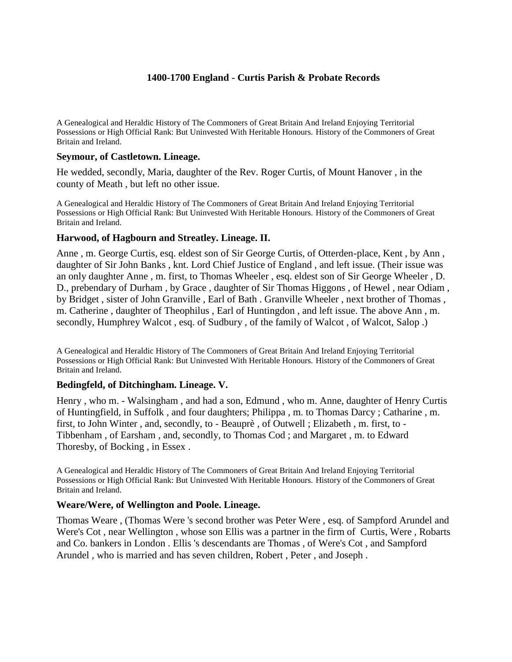A Genealogical and Heraldic History of The Commoners of Great Britain And Ireland Enjoying Territorial Possessions or High Official Rank: But Uninvested With Heritable Honours. History of the Commoners of Great Britain and Ireland.

#### **Seymour, of Castletown. Lineage.**

He wedded, secondly, Maria, daughter of the Rev. Roger Curtis, of Mount Hanover , in the county of Meath , but left no other issue.

A Genealogical and Heraldic History of The Commoners of Great Britain And Ireland Enjoying Territorial Possessions or High Official Rank: But Uninvested With Heritable Honours. History of the Commoners of Great Britain and Ireland.

#### **Harwood, of Hagbourn and Streatley. Lineage. II.**

Anne , m. George Curtis, esq. eldest son of Sir George Curtis, of Otterden-place, Kent , by Ann , daughter of Sir John Banks , knt. Lord Chief Justice of England , and left issue. (Their issue was an only daughter Anne , m. first, to Thomas Wheeler , esq. eldest son of Sir George Wheeler , D. D., prebendary of Durham , by Grace , daughter of Sir Thomas Higgons , of Hewel , near Odiam , by Bridget , sister of John Granville , Earl of Bath . Granville Wheeler , next brother of Thomas , m. Catherine , daughter of Theophilus , Earl of Huntingdon , and left issue. The above Ann , m. secondly, Humphrey Walcot, esq. of Sudbury, of the family of Walcot, of Walcot, Salop.)

A Genealogical and Heraldic History of The Commoners of Great Britain And Ireland Enjoying Territorial Possessions or High Official Rank: But Uninvested With Heritable Honours. History of the Commoners of Great Britain and Ireland.

#### **Bedingfeld, of Ditchingham. Lineage. V.**

Henry , who m. - Walsingham , and had a son, Edmund , who m. Anne, daughter of Henry Curtis of Huntingfield, in Suffolk , and four daughters; Philippa , m. to Thomas Darcy ; Catharine , m. first, to John Winter , and, secondly, to - Beauprè , of Outwell ; Elizabeth , m. first, to - Tibbenham , of Earsham , and, secondly, to Thomas Cod ; and Margaret , m. to Edward Thoresby, of Bocking , in Essex .

A Genealogical and Heraldic History of The Commoners of Great Britain And Ireland Enjoying Territorial Possessions or High Official Rank: But Uninvested With Heritable Honours. History of the Commoners of Great Britain and Ireland.

#### **Weare/Were, of Wellington and Poole. Lineage.**

Thomas Weare , (Thomas Were 's second brother was Peter Were , esq. of Sampford Arundel and Were's Cot , near Wellington , whose son Ellis was a partner in the firm of Curtis, Were , Robarts and Co. bankers in London . Ellis 's descendants are Thomas , of Were's Cot , and Sampford Arundel , who is married and has seven children, Robert , Peter , and Joseph .